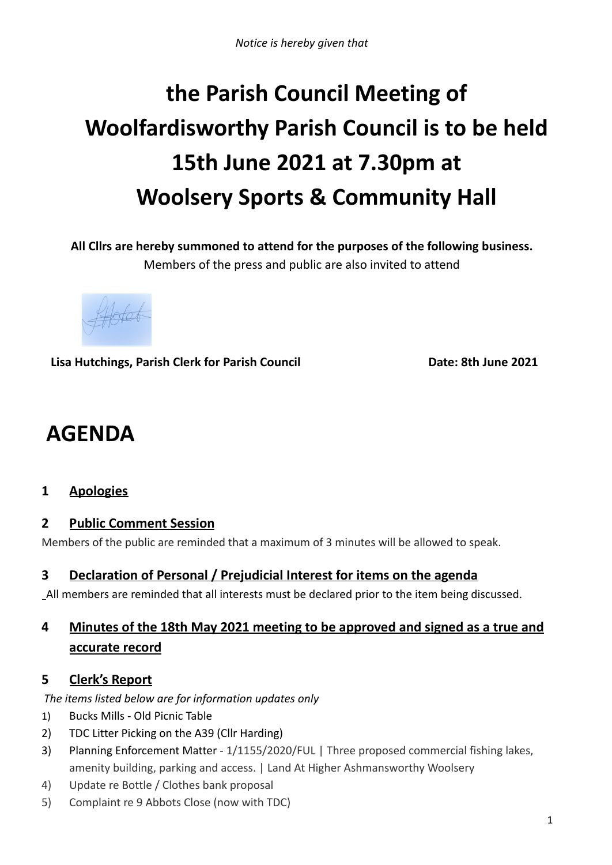# **the Parish Council Meeting of Woolfardisworthy Parish Council is to be held 15th June 2021 at 7.30pm at Woolsery Sports & Community Hall**

**All Cllrs are hereby summoned to attend for the purposes of the following business.** Members of the press and public are also invited to attend

**Lisa Hutchings, Parish Clerk for Parish Council Date: 8th June 2021**

## **AGENDA**

## **1 Apologies**

## **2 Public Comment Session**

Members of the public are reminded that a maximum of 3 minutes will be allowed to speak.

## **3 Declaration of Personal / Prejudicial Interest for items on the agenda**

All members are reminded that all interests must be declared prior to the item being discussed.

## **4 Minutes of the 18th May 2021 meeting to be approved and signed as a true and accurate record**

## **5 Clerk's Report**

*The items listed below are for information updates only*

- 1) Bucks Mills Old Picnic Table
- 2) TDC Litter Picking on the A39 (Cllr Harding)
- 3) Planning Enforcement Matter 1/1155/2020/FUL | Three proposed commercial fishing lakes, amenity building, parking and access. | Land At Higher Ashmansworthy Woolsery
- 4) Update re Bottle / Clothes bank proposal
- 5) Complaint re 9 Abbots Close (now with TDC)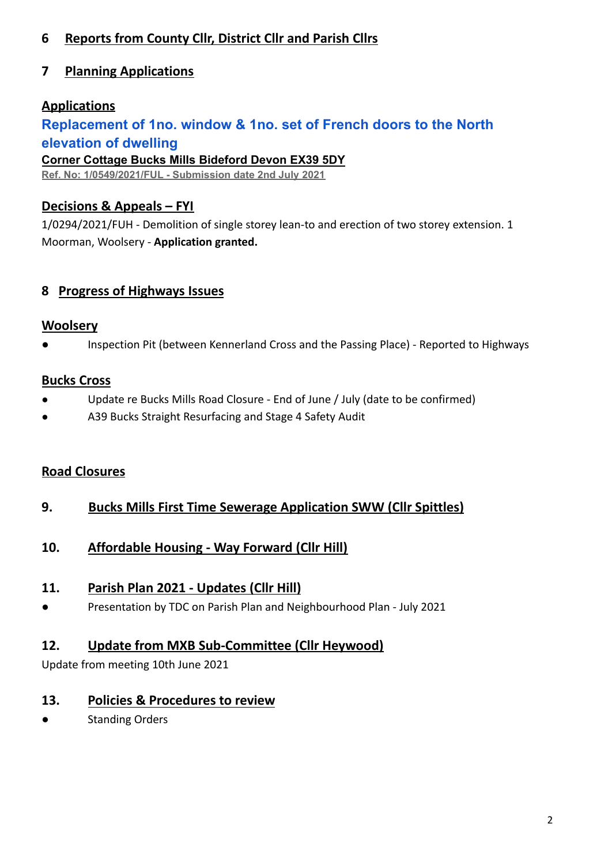## **6 Reports from County Cllr, District Cllr and Parish Cllrs**

## **7 Planning Applications**

## **Applications**

## **[Replacement of 1no. window & 1no. set of French doors](https://publicaccess.torridge.gov.uk/online-applications/applicationDetails.do?activeTab=summary&keyVal=QSZTGPQKN0500&prevPage=inTray) to the North [elevation of dwelling](https://publicaccess.torridge.gov.uk/online-applications/applicationDetails.do?activeTab=summary&keyVal=QSZTGPQKN0500&prevPage=inTray)**

**Corner Cottage Bucks Mills Bideford Devon EX39 5DY**

**Ref. No: 1/0549/2021/FUL - Submission date 2nd July 2021**

## **Decisions & Appeals – FYI**

1/0294/2021/FUH - Demolition of single storey lean-to and erection of two storey extension. 1 Moorman, Woolsery - **Application granted.**

## **8 Progress of Highways Issues**

#### **Woolsery**

Inspection Pit (between Kennerland Cross and the Passing Place) - Reported to Highways

#### **Bucks Cross**

- Update re Bucks Mills Road Closure End of June / July (date to be confirmed)
- A39 Bucks Straight Resurfacing and Stage 4 Safety Audit

## **Road Closures**

- **9. Bucks Mills First Time Sewerage Application SWW (Cllr Spittles)**
- **10. Affordable Housing - Way Forward (Cllr Hill)**

## **11. Parish Plan 2021 - Updates (Cllr Hill)**

Presentation by TDC on Parish Plan and Neighbourhood Plan - July 2021

## **12. Update from MXB Sub-Committee (Cllr Heywood)**

Update from meeting 10th June 2021

## **13. Policies & Procedures to review**

**Standing Orders**